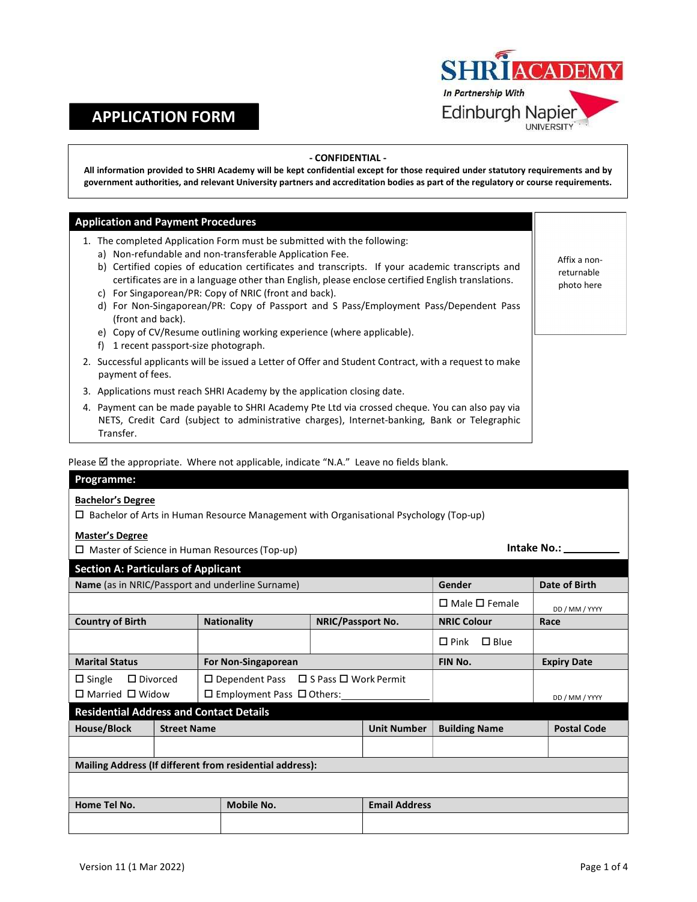# APPLICATION FORM



## - CONFIDENTIAL -

All information provided to SHRI Academy will be kept confidential except for those required under statutory requirements and by government authorities, and relevant University partners and accreditation bodies as part of the regulatory or course requirements.

## Application and Payment Procedures

- 1. The completed Application Form must be submitted with the following:
	- a) Non-refundable and non-transferable Application Fee.
	- b) Certified copies of education certificates and transcripts. If your academic transcripts and certificates are in a language other than English, please enclose certified English translations.
	- c) For Singaporean/PR: Copy of NRIC (front and back).
	- d) For Non-Singaporean/PR: Copy of Passport and S Pass/Employment Pass/Dependent Pass (front and back).
	- e) Copy of CV/Resume outlining working experience (where applicable).
	- f) 1 recent passport-size photograph.
- 2. Successful applicants will be issued a Letter of Offer and Student Contract, with a request to make payment of fees.
- 3. Applications must reach SHRI Academy by the application closing date.
- 4. Payment can be made payable to SHRI Academy Pte Ltd via crossed cheque. You can also pay via NETS, Credit Card (subject to administrative charges), Internet-banking, Bank or Telegraphic Transfer.

Please  $\boxtimes$  the appropriate. Where not applicable, indicate "N.A." Leave no fields blank.

#### Programme:

#### Bachelor's Degree

 $\square$  Bachelor of Arts in Human Resource Management with Organisational Psychology (Top-up)

### Master's Degree

| iviaster s pegree                                                                                      |                    |            |  |                           |                                  |                    |
|--------------------------------------------------------------------------------------------------------|--------------------|------------|--|---------------------------|----------------------------------|--------------------|
| $\Box$ Master of Science in Human Resources (Top-up)                                                   |                    |            |  | Intake No.: _____         |                                  |                    |
| <b>Section A: Particulars of Applicant</b>                                                             |                    |            |  |                           |                                  |                    |
| Name (as in NRIC/Passport and underline Surname)                                                       |                    |            |  | Gender                    | Date of Birth                    |                    |
|                                                                                                        |                    |            |  | $\Box$ Male $\Box$ Female | DD / MM / YYYY                   |                    |
| <b>Country of Birth</b><br><b>Nationality</b><br><b>NRIC/Passport No.</b>                              |                    |            |  | <b>NRIC Colour</b>        | Race                             |                    |
|                                                                                                        |                    |            |  |                           | $\square$ Blue<br>$\square$ Pink |                    |
| <b>Marital Status</b><br>For Non-Singaporean                                                           |                    |            |  | FIN No.                   | <b>Expiry Date</b>               |                    |
| $\square$ Dependent Pass $\square$ S Pass $\square$ Work Permit<br>$\square$ Divorced<br>$\Box$ Single |                    |            |  |                           |                                  |                    |
| $\Box$ Married $\Box$ Widow<br>$\Box$ Employment Pass $\Box$ Others:                                   |                    |            |  |                           | DD / MM / YYYY                   |                    |
| <b>Residential Address and Contact Details</b>                                                         |                    |            |  |                           |                                  |                    |
| House/Block                                                                                            | <b>Street Name</b> |            |  | <b>Unit Number</b>        | <b>Building Name</b>             | <b>Postal Code</b> |
|                                                                                                        |                    |            |  |                           |                                  |                    |
| Mailing Address (If different from residential address):                                               |                    |            |  |                           |                                  |                    |
|                                                                                                        |                    |            |  |                           |                                  |                    |
| Home Tel No.                                                                                           |                    | Mobile No. |  | <b>Email Address</b>      |                                  |                    |
|                                                                                                        |                    |            |  |                           |                                  |                    |

Affix a nonreturnable photo here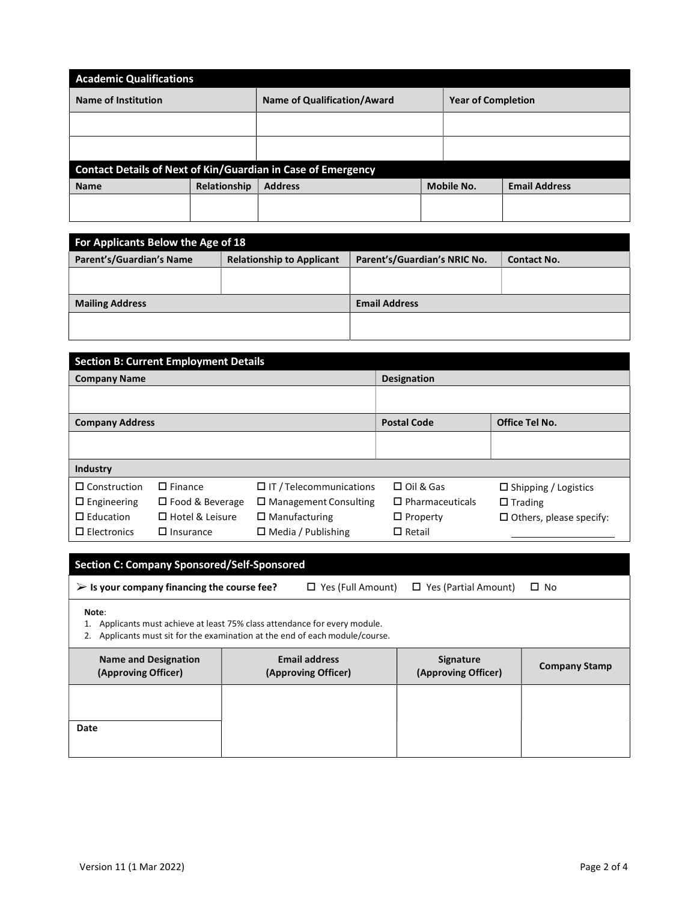| <b>Academic Qualifications</b>                               |              |                             |  |                           |                      |
|--------------------------------------------------------------|--------------|-----------------------------|--|---------------------------|----------------------|
| <b>Name of Institution</b>                                   |              | Name of Qualification/Award |  | <b>Year of Completion</b> |                      |
|                                                              |              |                             |  |                           |                      |
|                                                              |              |                             |  |                           |                      |
| Contact Details of Next of Kin/Guardian in Case of Emergency |              |                             |  |                           |                      |
| <b>Name</b>                                                  | Relationship | <b>Address</b>              |  | Mobile No.                | <b>Email Address</b> |
|                                                              |              |                             |  |                           |                      |

| For Applicants Below the Age of 18 |                                  |                              |             |  |  |
|------------------------------------|----------------------------------|------------------------------|-------------|--|--|
| Parent's/Guardian's Name           | <b>Relationship to Applicant</b> | Parent's/Guardian's NRIC No. | Contact No. |  |  |
|                                    |                                  |                              |             |  |  |
|                                    |                                  |                              |             |  |  |
| <b>Mailing Address</b>             |                                  | <b>Email Address</b>         |             |  |  |
|                                    |                                  |                              |             |  |  |
|                                    |                                  |                              |             |  |  |

| <b>Section B: Current Employment Details</b> |                        |                                |                        |                                |  |
|----------------------------------------------|------------------------|--------------------------------|------------------------|--------------------------------|--|
| <b>Company Name</b>                          |                        |                                | Designation            |                                |  |
|                                              |                        |                                |                        |                                |  |
| <b>Company Address</b>                       |                        |                                | <b>Postal Code</b>     | <b>Office Tel No.</b>          |  |
|                                              |                        |                                |                        |                                |  |
|                                              |                        |                                |                        |                                |  |
| Industry                                     |                        |                                |                        |                                |  |
| $\Box$ Construction                          | $\square$ Finance      | $\Box$ IT / Telecommunications | $\Box$ Oil & Gas       | $\Box$ Shipping / Logistics    |  |
| $\Box$ Engineering                           | $\Box$ Food & Beverage | $\Box$ Management Consulting   | $\Box$ Pharmaceuticals | $\Box$ Trading                 |  |
| $\square$ Education                          | □ Hotel & Leisure      | $\Box$ Manufacturing           | $\Box$ Property        | $\Box$ Others, please specify: |  |
| $\square$ Electronics                        | $\Box$ Insurance       | $\Box$ Media / Publishing      | $\Box$ Retail          |                                |  |

# Section C: Company Sponsored/Self-Sponsored

| $\triangleright$ Is your company financing the course fee? | $\Box$ Yes (Full Amount) $\Box$ Yes (Partial Amount) $\Box$ No |  |
|------------------------------------------------------------|----------------------------------------------------------------|--|

Note:

- 1. Applicants must achieve at least 75% class attendance for every module.
- 2. Applicants must sit for the examination at the end of each module/course.

| <b>Name and Designation</b> | <b>Email address</b> | <b>Signature</b>    | <b>Company Stamp</b> |
|-----------------------------|----------------------|---------------------|----------------------|
| (Approving Officer)         | (Approving Officer)  | (Approving Officer) |                      |
| Date                        |                      |                     |                      |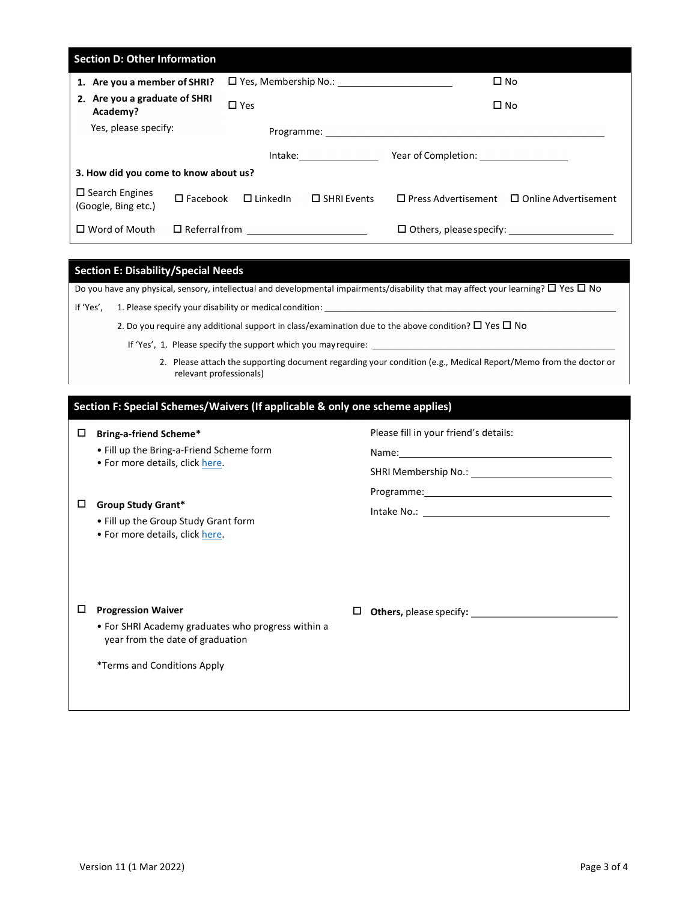| <b>Section D: Other Information</b>             |                    |                             |                                                                                                                                                                                                                                |                                              |                             |
|-------------------------------------------------|--------------------|-----------------------------|--------------------------------------------------------------------------------------------------------------------------------------------------------------------------------------------------------------------------------|----------------------------------------------|-----------------------------|
| 1. Are you a member of SHRI?                    |                    |                             | $\square$ Yes, Membership No.:                                                                                                                                                                                                 |                                              | $\square$ No                |
| 2. Are you a graduate of SHRI<br>Academy?       |                    | $\square$ Yes               |                                                                                                                                                                                                                                |                                              | $\square$ No                |
| Yes, please specify:                            |                    |                             |                                                                                                                                                                                                                                |                                              |                             |
|                                                 |                    |                             | Intake: and the state of the state of the state of the state of the state of the state of the state of the state of the state of the state of the state of the state of the state of the state of the state of the state of th |                                              |                             |
| 3. How did you come to know about us?           |                    |                             |                                                                                                                                                                                                                                |                                              |                             |
| $\square$ Search Engines<br>(Google, Bing etc.) | $\square$ Facebook | $\square$ LinkedIn          | $\Box$ SHRI Events                                                                                                                                                                                                             | $\square$ Press Advertisement                | $\Box$ Online Advertisement |
| $\Box$ Word of Mouth                            |                    | $\Box$ Referral from $\Box$ |                                                                                                                                                                                                                                | $\square$ Others, please specify: $\_{\_\_}$ |                             |

## Section E: Disability/Special Needs

Do you have any physical, sensory, intellectual and developmental impairments/disability that may affect your learning?  $\Box$  Yes  $\Box$  No

|  | If 'Yes', | 1. Please specify your disability or medical condition: |
|--|-----------|---------------------------------------------------------|
|--|-----------|---------------------------------------------------------|

2. Do you require any additional support in class/examination due to the above condition?  $\Box$  Yes  $\Box$  No

If 'Yes', 1. Please specify the support which you may require: \_

2. Please attach the supporting document regarding your condition (e.g., Medical Report/Memo from the doctor or relevant professionals)

Name:

Programme:

# Section F: Special Schemes/Waivers (If applicable & only one scheme applies)

## Bring-a-friend Scheme\*

- Fill up the Bring-a-Friend Scheme form<br>• For more details, click here.
- 

### $\square$  Group Study Grant\*

- Fill up the Group Study Grant form For more details, click here.
- 

 $\square$  Progression Waiver

- For SHRI Academy graduates who progress within a year from the date of graduation
- \*Terms and Conditions Apply

Please fill in your friend's details:

SHRI Membership No.:

Intake No.:

Others, please specify: